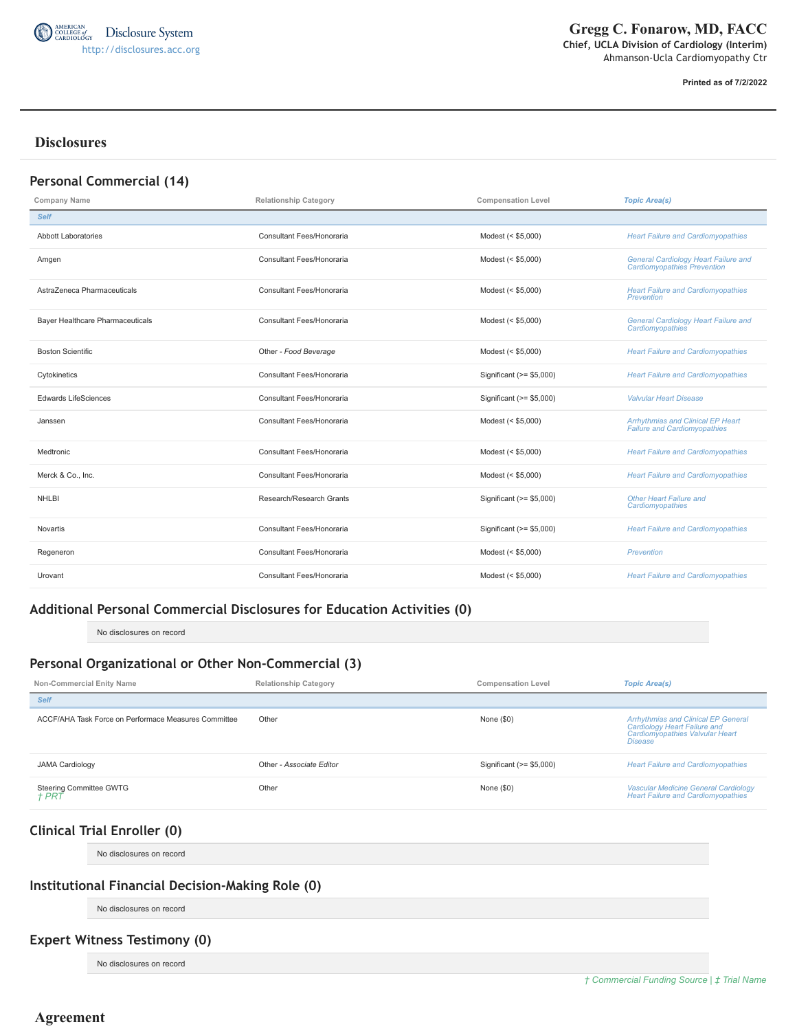

**Printed as of 7/2/2022**

# **Disclosures**

| Personal Commercial (14)         |                              |                           |                                                                                   |
|----------------------------------|------------------------------|---------------------------|-----------------------------------------------------------------------------------|
| Company Name                     | <b>Relationship Category</b> | <b>Compensation Level</b> | <b>Topic Area(s)</b>                                                              |
| <b>Self</b>                      |                              |                           |                                                                                   |
| <b>Abbott Laboratories</b>       | Consultant Fees/Honoraria    | Modest (< \$5,000)        | <b>Heart Failure and Cardiomyopathies</b>                                         |
| Amgen                            | Consultant Fees/Honoraria    | Modest (< \$5,000)        | <b>General Cardiology Heart Failure and</b><br><b>Cardiomyopathies Prevention</b> |
| AstraZeneca Pharmaceuticals      | Consultant Fees/Honoraria    | Modest (< \$5,000)        | <b>Heart Failure and Cardiomyopathies</b><br>Prevention                           |
| Bayer Healthcare Pharmaceuticals | Consultant Fees/Honoraria    | Modest (< \$5,000)        | <b>General Cardiology Heart Failure and</b><br>Cardiomyopathies                   |
| <b>Boston Scientific</b>         | Other - Food Beverage        | Modest (< \$5,000)        | <b>Heart Failure and Cardiomyopathies</b>                                         |
| Cytokinetics                     | Consultant Fees/Honoraria    | Significant (>= \$5,000)  | <b>Heart Failure and Cardiomyopathies</b>                                         |
| <b>Edwards LifeSciences</b>      | Consultant Fees/Honoraria    | Significant (>= \$5,000)  | <b>Valvular Heart Disease</b>                                                     |
| Janssen                          | Consultant Fees/Honoraria    | Modest (< \$5,000)        | <b>Arrhythmias and Clinical EP Heart</b><br><b>Failure and Cardiomyopathies</b>   |
| Medtronic                        | Consultant Fees/Honoraria    | Modest (< \$5,000)        | <b>Heart Failure and Cardiomyopathies</b>                                         |
| Merck & Co., Inc.                | Consultant Fees/Honoraria    | Modest (< \$5,000)        | <b>Heart Failure and Cardiomyopathies</b>                                         |
| <b>NHLBI</b>                     | Research/Research Grants     | Significant (>= \$5,000)  | <b>Other Heart Failure and</b><br>Cardiomyopathies                                |
| Novartis                         | Consultant Fees/Honoraria    | Significant (>= \$5,000)  | <b>Heart Failure and Cardiomyopathies</b>                                         |
| Regeneron                        | Consultant Fees/Honoraria    | Modest (< \$5,000)        | <b>Prevention</b>                                                                 |
| Urovant                          | Consultant Fees/Honoraria    | Modest (< \$5,000)        | <b>Heart Failure and Cardiomyopathies</b>                                         |

## **Additional Personal Commercial Disclosures for Education Activities (0)**

No disclosures on record

# **Personal Organizational or Other Non-Commercial (3)**

| Non-Commercial Enity Name                            | <b>Relationship Category</b> | <b>Compensation Level</b> | <b>Topic Area(s)</b>                                                                                                            |
|------------------------------------------------------|------------------------------|---------------------------|---------------------------------------------------------------------------------------------------------------------------------|
| <b>Self</b>                                          |                              |                           |                                                                                                                                 |
| ACCF/AHA Task Force on Performace Measures Committee | Other                        | None $(\$0)$              | <b>Arrhythmias and Clinical EP General</b><br>Cardiology Heart Failure and<br>Cardiomyopathies Valvular Heart<br><b>Disease</b> |
| <b>JAMA Cardiology</b>                               | Other - Associate Editor     | Significant $(>= $5,000)$ | <b>Heart Failure and Cardiomyopathies</b>                                                                                       |
| Steering Committee GWTG<br><i>† PRT</i>              | Other                        | None $(\$0)$              | <b>Vascular Medicine General Cardiology</b><br><b>Heart Failure and Cardiomyopathies</b>                                        |

# **Clinical Trial Enroller (0)**

No disclosures on record

## **Institutional Financial Decision-Making Role (0)**

No disclosures on record

# **Expert Witness Testimony (0)**

No disclosures on record